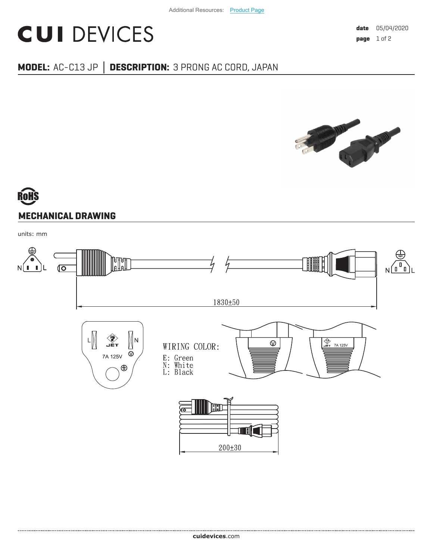## **CUI DEVICES**

## **MODEL:** AC-C13 JP **│ DESCRIPTION:** 3 PRONG AC CORD, JAPAN



## **MECHANICAL DRAWING**

units: mm